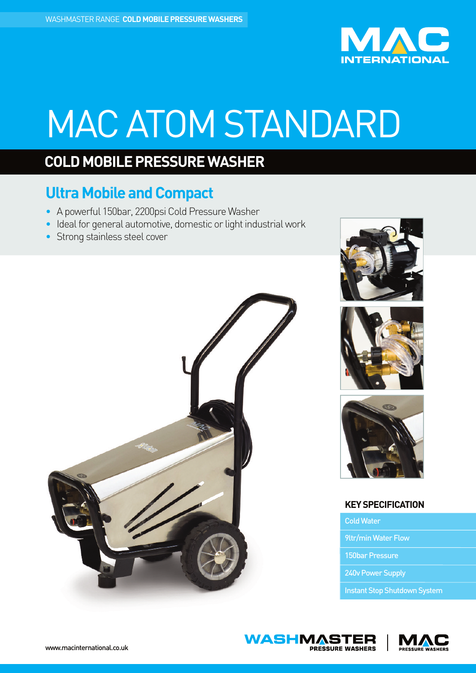

# MAC ATOM STANDARD

## **COLD MOBILE PRESSURE WASHER**

### **Ultra Mobile and Compact**

- A powerful 150bar, 2200psi Cold Pressure Washer
- Ideal for general automotive, domestic or light industrial work
- Strong stainless steel cover









### **KEYSPECIFICATION**

ColdWater

**WASHMASTER** 

**PRESSURE WASHERS** 

9ltr/min Water Flow

150bar Pressure

240v Power Supply

Instant Stop Shutdown System